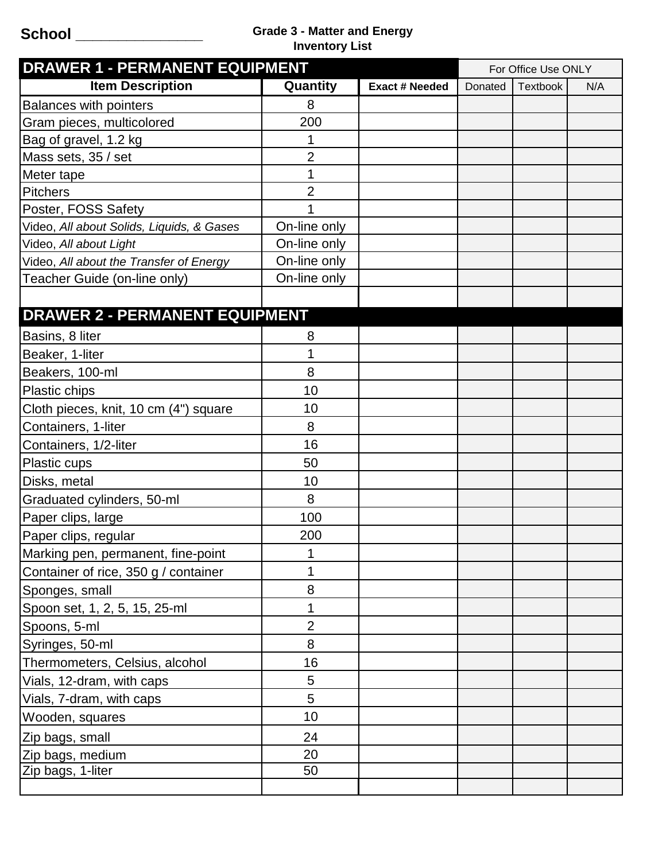## **School \_\_\_\_\_\_\_\_\_\_\_\_\_\_\_ Grade 3 - Matter and Energy Inventory List**

| <b>DRAWER 1 - PERMANENT EQUIPMENT</b>     |                |                       | For Office Use ONLY |                 |     |
|-------------------------------------------|----------------|-----------------------|---------------------|-----------------|-----|
| <b>Item Description</b>                   | Quantity       | <b>Exact # Needed</b> | Donated             | <b>Textbook</b> | N/A |
| <b>Balances with pointers</b>             | 8              |                       |                     |                 |     |
| Gram pieces, multicolored                 | 200            |                       |                     |                 |     |
| Bag of gravel, 1.2 kg                     | 1              |                       |                     |                 |     |
| Mass sets, 35 / set                       | 2              |                       |                     |                 |     |
| Meter tape                                | 1              |                       |                     |                 |     |
| <b>Pitchers</b>                           | $\overline{2}$ |                       |                     |                 |     |
| Poster, FOSS Safety                       |                |                       |                     |                 |     |
| Video, All about Solids, Liquids, & Gases | On-line only   |                       |                     |                 |     |
| Video, All about Light                    | On-line only   |                       |                     |                 |     |
| Video, All about the Transfer of Energy   | On-line only   |                       |                     |                 |     |
| Teacher Guide (on-line only)              | On-line only   |                       |                     |                 |     |
|                                           |                |                       |                     |                 |     |
| <b>DRAWER 2 - PERMANENT EQUIPMENT</b>     |                |                       |                     |                 |     |
| Basins, 8 liter                           | 8              |                       |                     |                 |     |
| Beaker, 1-liter                           | 1              |                       |                     |                 |     |
| Beakers, 100-ml                           | 8              |                       |                     |                 |     |
| Plastic chips                             | 10             |                       |                     |                 |     |
| Cloth pieces, knit, 10 cm (4") square     | 10             |                       |                     |                 |     |
| Containers, 1-liter                       | 8              |                       |                     |                 |     |
| Containers, 1/2-liter                     | 16             |                       |                     |                 |     |
| Plastic cups                              | 50             |                       |                     |                 |     |
| Disks, metal                              | 10             |                       |                     |                 |     |
| Graduated cylinders, 50-ml                | 8              |                       |                     |                 |     |
| Paper clips, large                        | 100            |                       |                     |                 |     |
| Paper clips, regular                      | 200            |                       |                     |                 |     |
| Marking pen, permanent, fine-point        | 1              |                       |                     |                 |     |
| Container of rice, 350 g / container      | 1              |                       |                     |                 |     |
| Sponges, small                            | 8              |                       |                     |                 |     |
| Spoon set, 1, 2, 5, 15, 25-ml             | 1              |                       |                     |                 |     |
| Spoons, 5-ml                              | $\overline{2}$ |                       |                     |                 |     |
| Syringes, 50-ml                           | 8              |                       |                     |                 |     |
| Thermometers, Celsius, alcohol            | 16             |                       |                     |                 |     |
| Vials, 12-dram, with caps                 | 5              |                       |                     |                 |     |
| Vials, 7-dram, with caps                  | 5              |                       |                     |                 |     |
| Wooden, squares                           | 10             |                       |                     |                 |     |
| Zip bags, small                           | 24             |                       |                     |                 |     |
| Zip bags, medium                          | 20             |                       |                     |                 |     |
| Zip bags, 1-liter                         | 50             |                       |                     |                 |     |
|                                           |                |                       |                     |                 |     |